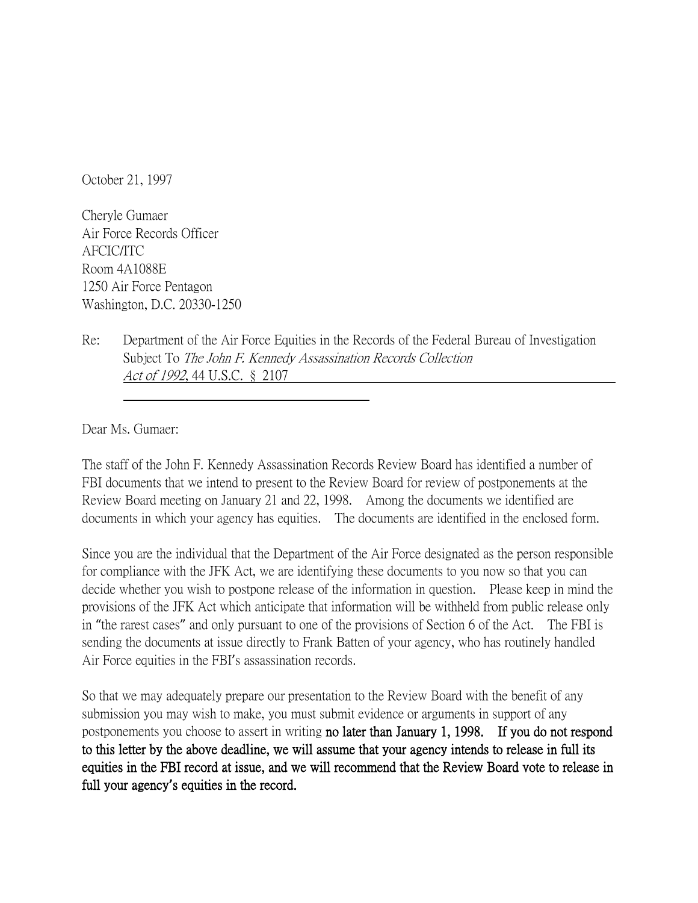October 21, 1997

Cheryle Gumaer Air Force Records Officer AFCIC/ITC Room 4A1088E 1250 Air Force Pentagon Washington, D.C. 20330-1250

Re: Department of the Air Force Equities in the Records of the Federal Bureau of Investigation Subject To The John F. Kennedy Assassination Records Collection Act of 1992, 44 U.S.C. § 2107

Dear Ms. Gumaer:

The staff of the John F. Kennedy Assassination Records Review Board has identified a number of FBI documents that we intend to present to the Review Board for review of postponements at the Review Board meeting on January 21 and 22, 1998. Among the documents we identified are documents in which your agency has equities. The documents are identified in the enclosed form.

Since you are the individual that the Department of the Air Force designated as the person responsible for compliance with the JFK Act, we are identifying these documents to you now so that you can decide whether you wish to postpone release of the information in question. Please keep in mind the provisions of the JFK Act which anticipate that information will be withheld from public release only in "the rarest cases" and only pursuant to one of the provisions of Section 6 of the Act. The FBI is sending the documents at issue directly to Frank Batten of your agency, who has routinely handled Air Force equities in the FBI's assassination records.

So that we may adequately prepare our presentation to the Review Board with the benefit of any submission you may wish to make, you must submit evidence or arguments in support of any postponements you choose to assert in writing no later than January 1, 1998. If you do not respond to this letter by the above deadline, we will assume that your agency intends to release in full its equities in the FBI record at issue, and we will recommend that the Review Board vote to release in full your agency**'**s equities in the record.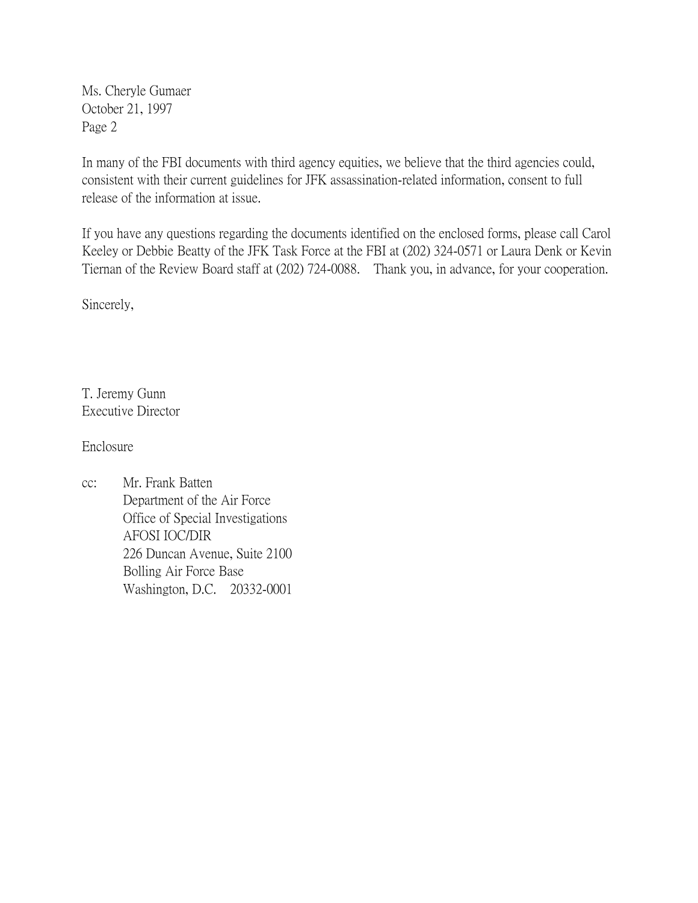Ms. Cheryle Gumaer October 21, 1997 Page 2

In many of the FBI documents with third agency equities, we believe that the third agencies could, consistent with their current guidelines for JFK assassination-related information, consent to full release of the information at issue.

If you have any questions regarding the documents identified on the enclosed forms, please call Carol Keeley or Debbie Beatty of the JFK Task Force at the FBI at (202) 324-0571 or Laura Denk or Kevin Tiernan of the Review Board staff at (202) 724-0088. Thank you, in advance, for your cooperation.

Sincerely,

T. Jeremy Gunn Executive Director

Enclosure

cc: Mr. Frank Batten Department of the Air Force Office of Special Investigations AFOSI IOC/DIR 226 Duncan Avenue, Suite 2100 Bolling Air Force Base Washington, D.C. 20332-0001